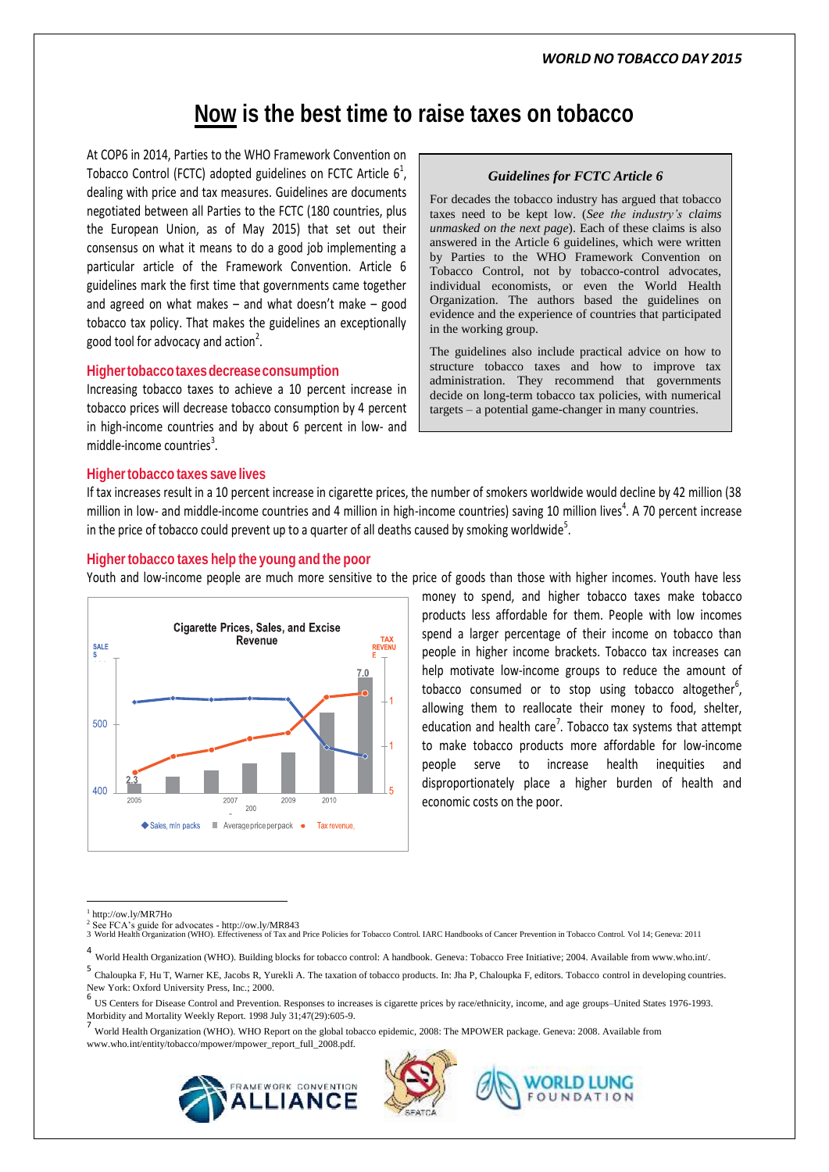## **Now is the best time to raise taxes on tobacco**

At COP6 in 2014, Parties to the WHO Framework Convention on Tobacco Control (FCTC) adopted guidelines on FCTC Article  $6^1$ , dealing with price and tax measures. Guidelines are documents negotiated between all Parties to the FCTC (180 countries, plus the European Union, as of May 2015) that set out their consensus on what it means to do a good job implementing a particular article of the Framework Convention. Article 6 guidelines mark the first time that governments came together and agreed on what makes – and what doesn't make – good tobacco tax policy. That makes the guidelines an exceptionally good tool for advocacy and action<sup>2</sup>.

#### **Highertobaccotaxesdecreaseconsumption**

Increasing tobacco taxes to achieve a 10 percent increase in tobacco prices will decrease tobacco consumption by 4 percent in high-income countries and by about 6 percent in low- and middle-income countries<sup>3</sup>.

# *Guidelines for FCTC Article 6*

For decades the tobacco industry has argued that tobacco taxes need to be kept low. (*See the industry's claims unmasked on the next page*). Each of these claims is also answered in the Article 6 guidelines, which were written by Parties to the WHO Framework Convention on Tobacco Control, not by tobacco-control advocates, individual economists, or even the World Health Organization. The authors based the guidelines on evidence and the experience of countries that participated in the working group.

The guidelines also include practical advice on how to structure tobacco taxes and how to improve tax administration. They recommend that governments decide on long-term tobacco tax policies, with numerical targets – a potential game-changer in many countries.

#### **Highertobacco taxes save lives**

If tax increases result in a 10 percent increase in cigarette prices, the number of smokers worldwide would decline by 42 million (38 million in low- and middle-income countries and 4 million in high-income countries) saving 10 million lives<sup>4</sup>. A 70 percent increase in the price of tobacco could prevent up to a quarter of all deaths caused by smoking worldwide<sup>5</sup>.

#### **Highertobacco taxes help the young and the poor**

Youth and low-income people are much more sensitive to the price of goods than those with higher incomes. Youth have less



money to spend, and higher tobacco taxes make tobacco products less affordable for them. People with low incomes spend a larger percentage of their income on tobacco than people in higher income brackets. Tobacco tax increases can help motivate low-income groups to reduce the amount of tobacco consumed or to stop using tobacco altogether<sup>6</sup>, allowing them to reallocate their money to food, shelter, education and health care<sup>7</sup>. Tobacco tax systems that attempt to make tobacco products more affordable for low-income people serve to increase health inequities and disproportionately place a higher burden of health and economic costs on the poor.

7 World Health Organization (WHO). WHO Report on the global tobacco epidemic, 2008: The MPOWER package. Geneva: 2008. Available from www.who.int/entity/tobacco/mpower/mpower\_report\_full\_2008.pdf.







 $\overline{\phantom{a}}$ 1 http://ow.ly/MR7Ho

<sup>&</sup>lt;sup>2</sup> See FCA's guide for advocates - http://ow.ly/MR843<br>3 World Health Organization (WHO). Effectiveness of Tax and Price Policies for Tobacco Control. IARC Handbooks of Cancer Prevention in Tobacco Control. Vol 14; Geneva:

<sup>4</sup> World Health Organization (WHO). Building blocks for tobacco control: A handbook. Geneva: Tobacco Free Initiative: 2004. Available from www.who.int/.

<sup>5</sup> Chaloupka F, Hu T, Warner KE, Jacobs R, Yurekli A. The taxation of tobacco products. In: Jha P, Chaloupka F, editors. Tobacco control in developing countries. New York: Oxford University Press, Inc.; 2000.

<sup>6</sup> US Centers for Disease Control and Prevention. Responses to increases is cigarette prices by race/ethnicity, income, and age groups–United States 1976-1993. Morbidity and Mortality Weekly Report. 1998 July 31;47(29):605-9.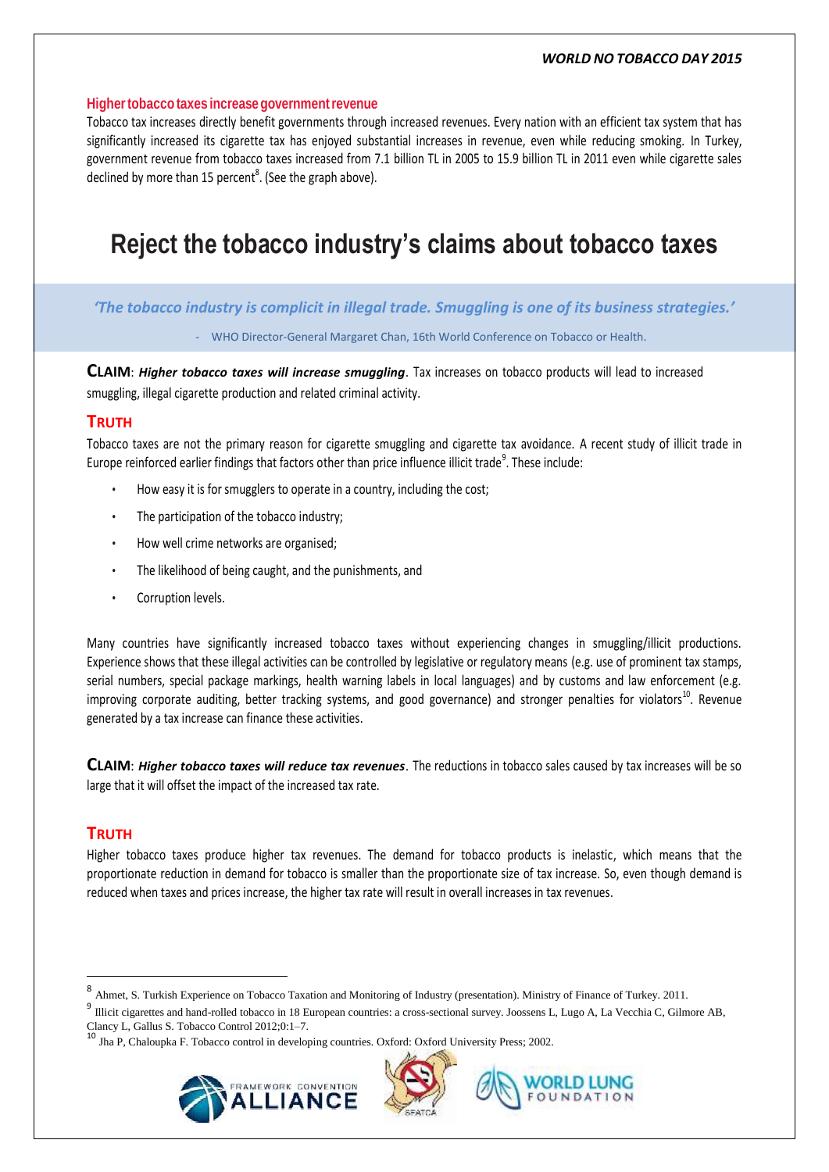#### *WORLD NO TOBACCO DAY 2015*

#### **Highertobacco taxes increasegovernmentrevenue**

Tobacco tax increases directly benefit governments through increased revenues. Every nation with an efficient tax system that has significantly increased its cigarette tax has enjoyed substantial increases in revenue, even while reducing smoking. In Turkey, government revenue from tobacco taxes increased from 7.1 billion TL in 2005 to 15.9 billion TL in 2011 even while cigarette sales declined by more than 15 percent<sup>8</sup>. (See the graph above).

# **Reject the tobacco industry's claims about tobacco taxes**

*'The tobacco industry is complicit in illegal trade. Smuggling is one of its business strategies.'*

- WHO Director-General Margaret Chan, 16th World Conference on Tobacco or Health.

**CLAIM**: *Higher tobacco taxes will increase smuggling*. Tax increases on tobacco products will lead to increased smuggling, illegal cigarette production and related criminal activity.

## **TRUTH**

Tobacco taxes are not the primary reason for cigarette smuggling and cigarette tax avoidance. A recent study of illicit trade in Europe reinforced earlier findings that factors other than price influence illicit trade<sup>9</sup>. These include:

- How easy it is for smugglers to operate in a country, including the cost;
- The participation of the tobacco industry:
- How well crime networks are organised;
- The likelihood of being caught, and the punishments, and
- Corruption levels.

Many countries have significantly increased tobacco taxes without experiencing changes in smuggling/illicit productions. Experience shows that these illegal activities can be controlled by legislative or regulatory means (e.g. use of prominent tax stamps, serial numbers, special package markings, health warning labels in local languages) and by customs and law enforcement (e.g. improving corporate auditing, better tracking systems, and good governance) and stronger penalties for violators<sup>10</sup>. Revenue generated by a tax increase can finance these activities.

**CLAIM**: *Higher tobacco taxes will reduce tax revenues*. The reductions in tobacco sales caused by tax increases will be so large that it will offset the impact of the increased tax rate.

### **TRUTH**

 $\overline{a}$ 

Higher tobacco taxes produce higher tax revenues. The demand for tobacco products is inelastic, which means that the proportionate reduction in demand for tobacco is smaller than the proportionate size of tax increase. So, even though demand is reduced when taxes and prices increase, the higher tax rate will result in overall increases in tax revenues.

<sup>10</sup> Jha P, Chaloupka F. Tobacco control in developing countries. Oxford: Oxford University Press; 2002.







<sup>8</sup> Ahmet, S. Turkish Experience on Tobacco Taxation and Monitoring of Industry (presentation). Ministry of Finance of Turkey. 2011.

<sup>&</sup>lt;sup>9</sup> Illicit cigarettes and hand-rolled tobacco in 18 European countries: a cross-sectional survey. Joossens L, Lugo A, La Vecchia C, Gilmore AB, Clancy L, Gallus S. Tobacco Control 2012;0:1–7.